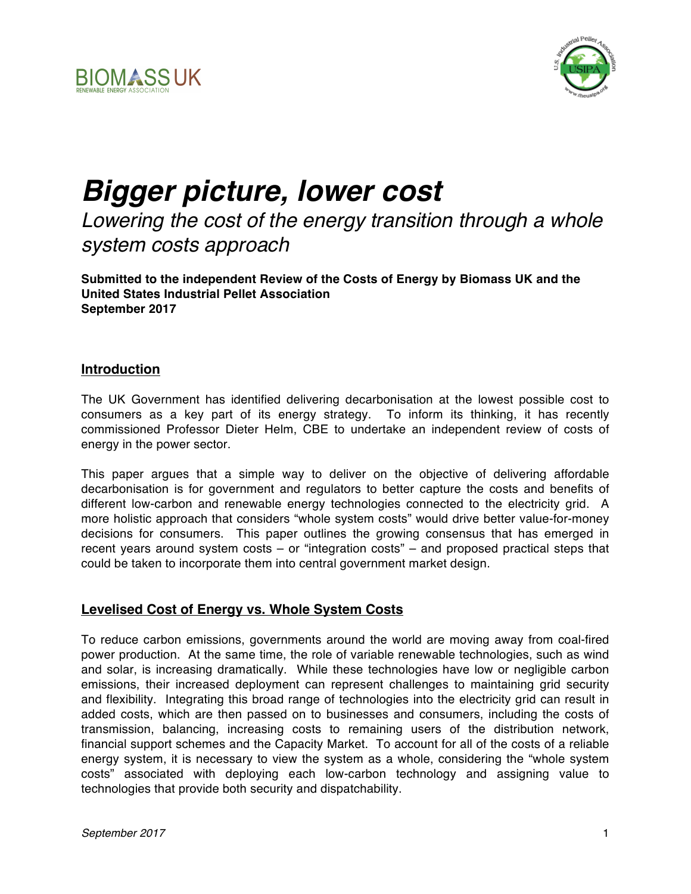



# *Bigger picture, lower cost*

# *Lowering the cost of the energy transition through a whole system costs approach*

**Submitted to the independent Review of the Costs of Energy by Biomass UK and the United States Industrial Pellet Association September 2017**

#### **Introduction**

The UK Government has identified delivering decarbonisation at the lowest possible cost to consumers as a key part of its energy strategy. To inform its thinking, it has recently commissioned Professor Dieter Helm, CBE to undertake an independent review of costs of energy in the power sector.

This paper argues that a simple way to deliver on the objective of delivering affordable decarbonisation is for government and regulators to better capture the costs and benefits of different low-carbon and renewable energy technologies connected to the electricity grid. A more holistic approach that considers "whole system costs" would drive better value-for-money decisions for consumers. This paper outlines the growing consensus that has emerged in recent years around system costs – or "integration costs" – and proposed practical steps that could be taken to incorporate them into central government market design.

#### **Levelised Cost of Energy vs. Whole System Costs**

To reduce carbon emissions, governments around the world are moving away from coal-fired power production. At the same time, the role of variable renewable technologies, such as wind and solar, is increasing dramatically. While these technologies have low or negligible carbon emissions, their increased deployment can represent challenges to maintaining grid security and flexibility. Integrating this broad range of technologies into the electricity grid can result in added costs, which are then passed on to businesses and consumers, including the costs of transmission, balancing, increasing costs to remaining users of the distribution network, financial support schemes and the Capacity Market. To account for all of the costs of a reliable energy system, it is necessary to view the system as a whole, considering the "whole system costs" associated with deploying each low-carbon technology and assigning value to technologies that provide both security and dispatchability.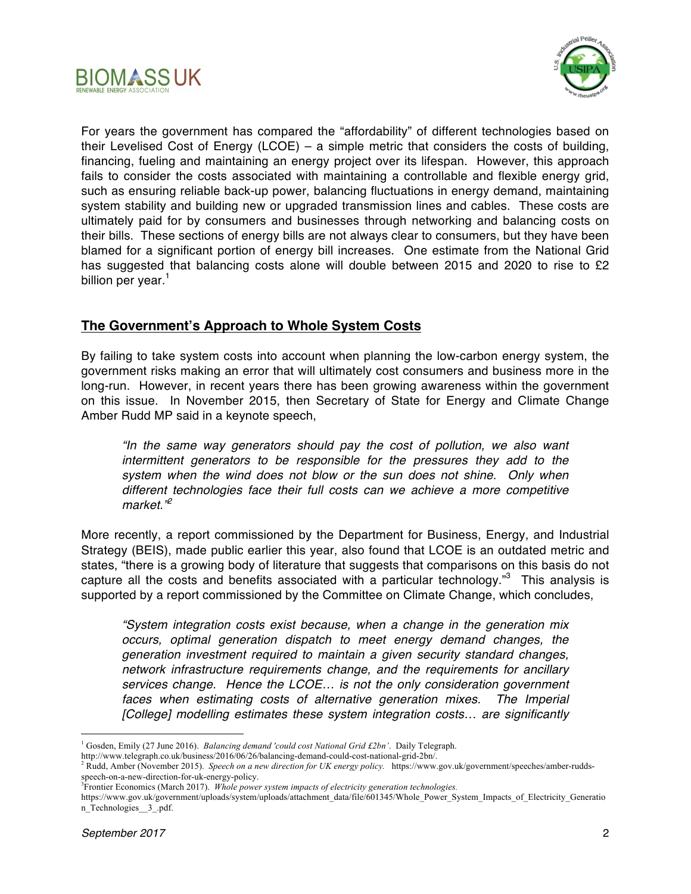



For years the government has compared the "affordability" of different technologies based on their Levelised Cost of Energy (LCOE) – a simple metric that considers the costs of building, financing, fueling and maintaining an energy project over its lifespan. However, this approach fails to consider the costs associated with maintaining a controllable and flexible energy grid, such as ensuring reliable back-up power, balancing fluctuations in energy demand, maintaining system stability and building new or upgraded transmission lines and cables. These costs are ultimately paid for by consumers and businesses through networking and balancing costs on their bills. These sections of energy bills are not always clear to consumers, but they have been blamed for a significant portion of energy bill increases. One estimate from the National Grid has suggested that balancing costs alone will double between 2015 and 2020 to rise to £2 billion per year.<sup>1</sup>

# **The Government's Approach to Whole System Costs**

By failing to take system costs into account when planning the low-carbon energy system, the government risks making an error that will ultimately cost consumers and business more in the long-run. However, in recent years there has been growing awareness within the government on this issue. In November 2015, then Secretary of State for Energy and Climate Change Amber Rudd MP said in a keynote speech,

*"In the same way generators should pay the cost of pollution, we also want intermittent generators to be responsible for the pressures they add to the system when the wind does not blow or the sun does not shine. Only when different technologies face their full costs can we achieve a more competitive market."<sup>2</sup>*

More recently, a report commissioned by the Department for Business, Energy, and Industrial Strategy (BEIS), made public earlier this year, also found that LCOE is an outdated metric and states, "there is a growing body of literature that suggests that comparisons on this basis do not capture all the costs and benefits associated with a particular technology."<sup>3</sup> This analysis is supported by a report commissioned by the Committee on Climate Change, which concludes,

*"System integration costs exist because, when a change in the generation mix occurs, optimal generation dispatch to meet energy demand changes, the generation investment required to maintain a given security standard changes, network infrastructure requirements change, and the requirements for ancillary services change. Hence the LCOE… is not the only consideration government*  faces when estimating costs of alternative generation mixes. The Imperial *[College] modelling estimates these system integration costs… are significantly* 

 <sup>1</sup> Gosden, Emily (27 June 2016). *Balancing demand 'could cost National Grid £2bn'*. Daily Telegraph.

http://www.telegraph.co.uk/business/2016/06/26/balancing-demand-could-cost-national-grid-2bn/.

<sup>2</sup> Rudd, Amber (November 2015). *Speech on a new direction for UK energy policy.* https://www.gov.uk/government/speeches/amber-ruddsspeech-on-a-new-direction-for-uk-energy-policy.<br><sup>3</sup>Frontier Economics (March 2017). *Whole power system impacts of electricity generation technologies.* 

https://www.gov.uk/government/uploads/system/uploads/attachment\_data/file/601345/Whole\_Power\_System\_Impacts\_of\_Electricity\_Generatio n\_Technologies\_\_3\_.pdf.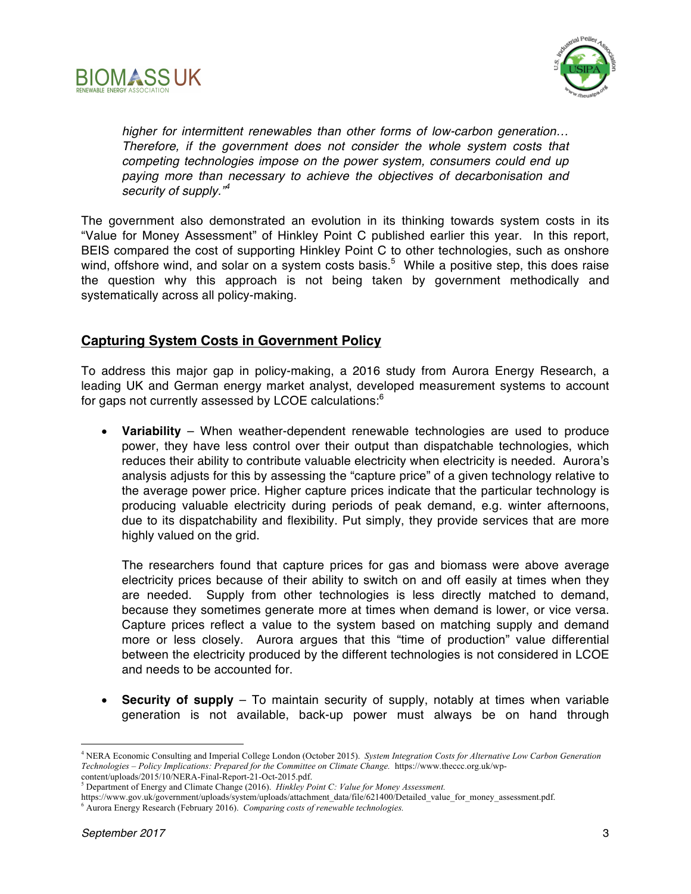



*higher for intermittent renewables than other forms of low-carbon generation… Therefore, if the government does not consider the whole system costs that competing technologies impose on the power system, consumers could end up paying more than necessary to achieve the objectives of decarbonisation and security of supply."<sup>4</sup>*

The government also demonstrated an evolution in its thinking towards system costs in its "Value for Money Assessment" of Hinkley Point C published earlier this year. In this report, BEIS compared the cost of supporting Hinkley Point C to other technologies, such as onshore wind, offshore wind, and solar on a system costs basis.<sup>5</sup> While a positive step, this does raise the question why this approach is not being taken by government methodically and systematically across all policy-making.

#### **Capturing System Costs in Government Policy**

To address this major gap in policy-making, a 2016 study from Aurora Energy Research, a leading UK and German energy market analyst, developed measurement systems to account for gaps not currently assessed by LCOE calculations:<sup>6</sup>

• **Variability** – When weather-dependent renewable technologies are used to produce power, they have less control over their output than dispatchable technologies, which reduces their ability to contribute valuable electricity when electricity is needed. Aurora's analysis adjusts for this by assessing the "capture price" of a given technology relative to the average power price. Higher capture prices indicate that the particular technology is producing valuable electricity during periods of peak demand, e.g. winter afternoons, due to its dispatchability and flexibility. Put simply, they provide services that are more highly valued on the grid.

The researchers found that capture prices for gas and biomass were above average electricity prices because of their ability to switch on and off easily at times when they are needed. Supply from other technologies is less directly matched to demand, because they sometimes generate more at times when demand is lower, or vice versa. Capture prices reflect a value to the system based on matching supply and demand more or less closely. Aurora argues that this "time of production" value differential between the electricity produced by the different technologies is not considered in LCOE and needs to be accounted for.

• **Security of supply** – To maintain security of supply, notably at times when variable generation is not available, back-up power must always be on hand through

 <sup>4</sup> NERA Economic Consulting and Imperial College London (October 2015). *System Integration Costs for Alternative Low Carbon Generation Technologies – Policy Implications: Prepared for the Committee on Climate Change.* https://www.theccc.org.uk/wpcontent/uploads/2015/10/NERA-Final-Report-21-Oct-2015.pdf.

<sup>5</sup> Department of Energy and Climate Change (2016). *Hinkley Point C: Value for Money Assessment.*

https://www.gov.uk/government/uploads/system/uploads/attachment\_data/file/621400/Detailed\_value\_for\_money\_assessment.pdf.

<sup>6</sup> Aurora Energy Research (February 2016). *Comparing costs of renewable technologies.*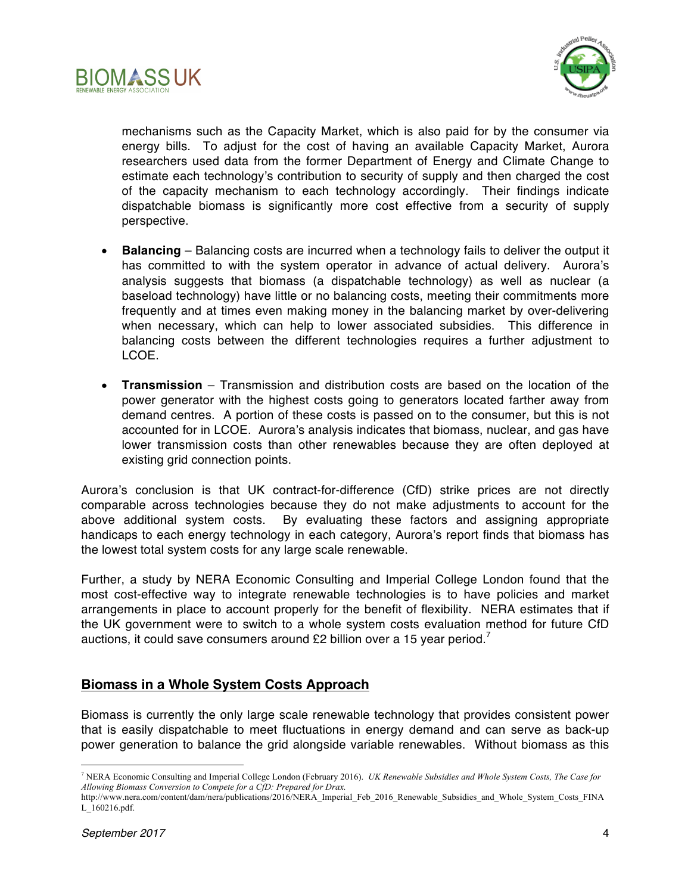



mechanisms such as the Capacity Market, which is also paid for by the consumer via energy bills. To adjust for the cost of having an available Capacity Market, Aurora researchers used data from the former Department of Energy and Climate Change to estimate each technology's contribution to security of supply and then charged the cost of the capacity mechanism to each technology accordingly. Their findings indicate dispatchable biomass is significantly more cost effective from a security of supply perspective.

- **Balancing**  Balancing costs are incurred when a technology fails to deliver the output it has committed to with the system operator in advance of actual delivery. Aurora's analysis suggests that biomass (a dispatchable technology) as well as nuclear (a baseload technology) have little or no balancing costs, meeting their commitments more frequently and at times even making money in the balancing market by over-delivering when necessary, which can help to lower associated subsidies. This difference in balancing costs between the different technologies requires a further adjustment to LCOE.
- **Transmission**  Transmission and distribution costs are based on the location of the power generator with the highest costs going to generators located farther away from demand centres. A portion of these costs is passed on to the consumer, but this is not accounted for in LCOE. Aurora's analysis indicates that biomass, nuclear, and gas have lower transmission costs than other renewables because they are often deployed at existing grid connection points.

Aurora's conclusion is that UK contract-for-difference (CfD) strike prices are not directly comparable across technologies because they do not make adjustments to account for the above additional system costs. By evaluating these factors and assigning appropriate handicaps to each energy technology in each category, Aurora's report finds that biomass has the lowest total system costs for any large scale renewable.

Further, a study by NERA Economic Consulting and Imperial College London found that the most cost-effective way to integrate renewable technologies is to have policies and market arrangements in place to account properly for the benefit of flexibility. NERA estimates that if the UK government were to switch to a whole system costs evaluation method for future CfD auctions, it could save consumers around £2 billion over a 15 year period.<sup>7</sup>

# **Biomass in a Whole System Costs Approach**

Biomass is currently the only large scale renewable technology that provides consistent power that is easily dispatchable to meet fluctuations in energy demand and can serve as back-up power generation to balance the grid alongside variable renewables. Without biomass as this

 <sup>7</sup> NERA Economic Consulting and Imperial College London (February 2016). *UK Renewable Subsidies and Whole System Costs, The Case for Allowing Biomass Conversion to Compete for a CfD: Prepared for Drax.* 

http://www.nera.com/content/dam/nera/publications/2016/NERA\_Imperial\_Feb\_2016\_Renewable\_Subsidies\_and\_Whole\_System\_Costs\_FINA L\_160216.pdf.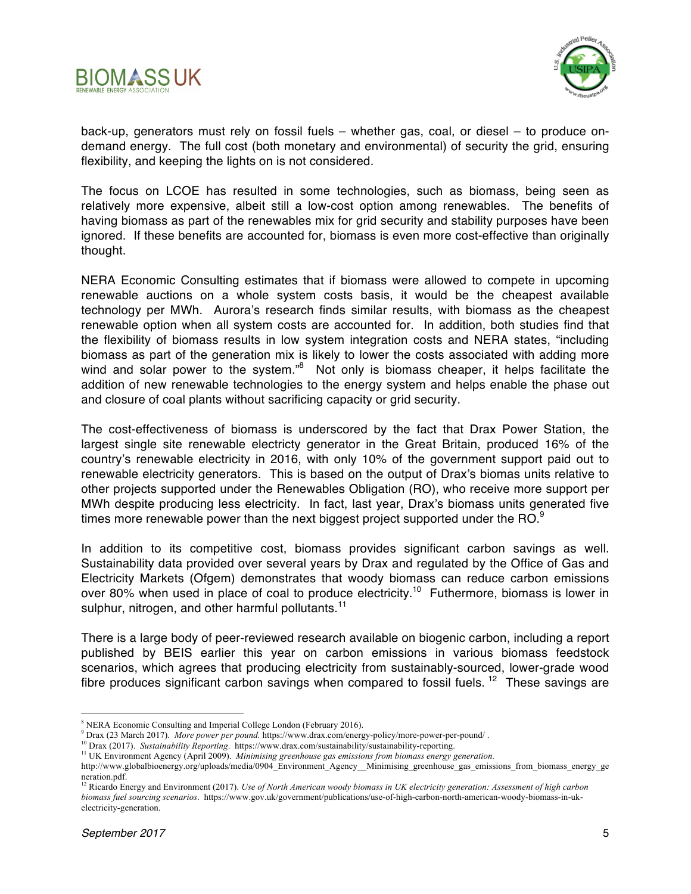



back-up, generators must rely on fossil fuels – whether gas, coal, or diesel – to produce ondemand energy. The full cost (both monetary and environmental) of security the grid, ensuring flexibility, and keeping the lights on is not considered.

The focus on LCOE has resulted in some technologies, such as biomass, being seen as relatively more expensive, albeit still a low-cost option among renewables. The benefits of having biomass as part of the renewables mix for grid security and stability purposes have been ignored. If these benefits are accounted for, biomass is even more cost-effective than originally thought.

NERA Economic Consulting estimates that if biomass were allowed to compete in upcoming renewable auctions on a whole system costs basis, it would be the cheapest available technology per MWh. Aurora's research finds similar results, with biomass as the cheapest renewable option when all system costs are accounted for. In addition, both studies find that the flexibility of biomass results in low system integration costs and NERA states, "including biomass as part of the generation mix is likely to lower the costs associated with adding more wind and solar power to the system."<sup>8</sup> Not only is biomass cheaper, it helps facilitate the addition of new renewable technologies to the energy system and helps enable the phase out and closure of coal plants without sacrificing capacity or grid security*.*

The cost-effectiveness of biomass is underscored by the fact that Drax Power Station, the largest single site renewable electricty generator in the Great Britain, produced 16% of the country's renewable electricity in 2016, with only 10% of the government support paid out to renewable electricity generators. This is based on the output of Drax's biomas units relative to other projects supported under the Renewables Obligation (RO), who receive more support per MWh despite producing less electricity. In fact, last year, Drax's biomass units generated five times more renewable power than the next biggest project supported under the RO. $^9$ 

In addition to its competitive cost, biomass provides significant carbon savings as well. Sustainability data provided over several years by Drax and regulated by the Office of Gas and Electricity Markets (Ofgem) demonstrates that woody biomass can reduce carbon emissions over 80% when used in place of coal to produce electricity.<sup>10</sup> Futhermore, biomass is lower in sulphur, nitrogen, and other harmful pollutants.<sup>11</sup>

There is a large body of peer-reviewed research available on biogenic carbon, including a report published by BEIS earlier this year on carbon emissions in various biomass feedstock scenarios, which agrees that producing electricity from sustainably-sourced, lower-grade wood fibre produces significant carbon savings when compared to fossil fuels.<sup>12</sup> These savings are

<sup>8</sup> NERA Economic Consulting and Imperial College London (February 2016). 9 Drax (23 March 2017). *More power per pound.* https://www.drax.com/energy-policy/more-power-per-pound/ .

<sup>10</sup> Drax (2017). *Sustainability Reporting*. https://www.drax.com/sustainability/sustainability-reporting.

<sup>&</sup>lt;sup>11</sup> UK Environment Agency (April 2009). *Minimising greenhouse gas emissions from biomass energy generation*.

http://www.globalbioenergy.org/uploads/media/0904\_Environment\_Agency\_\_Minimising\_greenhouse\_gas\_emissions\_from\_biomass\_energy\_ge neration.pdf.

<sup>&</sup>lt;sup>12</sup> Ricardo Energy and Environment (2017). *Use of North American woody biomass in UK electricity generation: Assessment of high carbon biomass fuel sourcing scenarios*. https://www.gov.uk/government/publications/use-of-high-carbon-north-american-woody-biomass-in-ukelectricity-generation.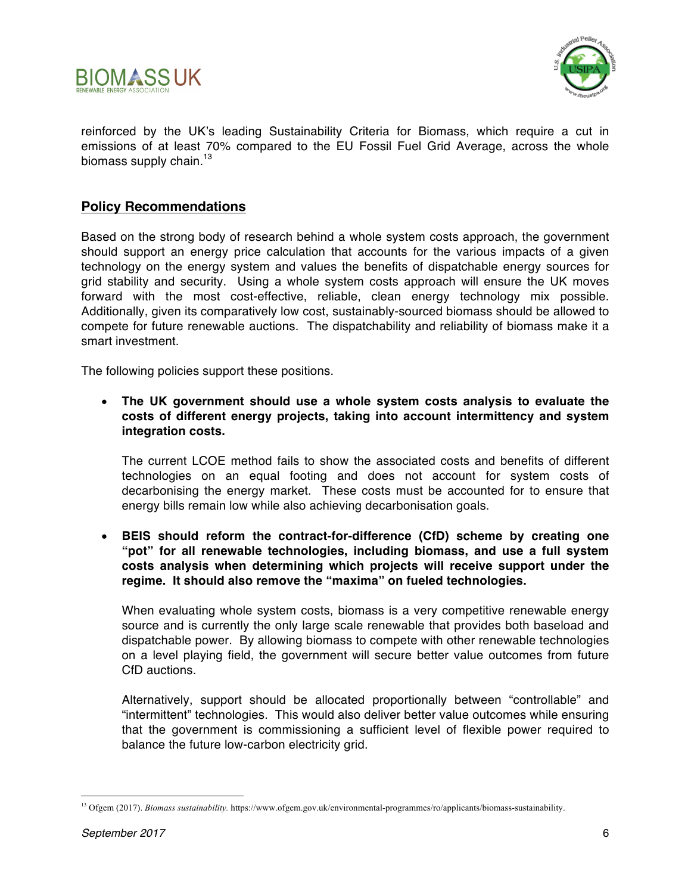



reinforced by the UK's leading Sustainability Criteria for Biomass, which require a cut in emissions of at least 70% compared to the EU Fossil Fuel Grid Average, across the whole biomass supply chain. $13$ 

### **Policy Recommendations**

Based on the strong body of research behind a whole system costs approach, the government should support an energy price calculation that accounts for the various impacts of a given technology on the energy system and values the benefits of dispatchable energy sources for grid stability and security. Using a whole system costs approach will ensure the UK moves forward with the most cost-effective, reliable, clean energy technology mix possible. Additionally, given its comparatively low cost, sustainably-sourced biomass should be allowed to compete for future renewable auctions. The dispatchability and reliability of biomass make it a smart investment.

The following policies support these positions.

• **The UK government should use a whole system costs analysis to evaluate the costs of different energy projects, taking into account intermittency and system integration costs.**

The current LCOE method fails to show the associated costs and benefits of different technologies on an equal footing and does not account for system costs of decarbonising the energy market. These costs must be accounted for to ensure that energy bills remain low while also achieving decarbonisation goals.

• **BEIS should reform the contract-for-difference (CfD) scheme by creating one "pot" for all renewable technologies, including biomass, and use a full system costs analysis when determining which projects will receive support under the regime. It should also remove the "maxima" on fueled technologies.**

When evaluating whole system costs, biomass is a very competitive renewable energy source and is currently the only large scale renewable that provides both baseload and dispatchable power. By allowing biomass to compete with other renewable technologies on a level playing field, the government will secure better value outcomes from future CfD auctions.

Alternatively, support should be allocated proportionally between "controllable" and "intermittent" technologies. This would also deliver better value outcomes while ensuring that the government is commissioning a sufficient level of flexible power required to balance the future low-carbon electricity grid.

 <sup>13</sup> Ofgem (2017). *Biomass sustainability.* https://www.ofgem.gov.uk/environmental-programmes/ro/applicants/biomass-sustainability.